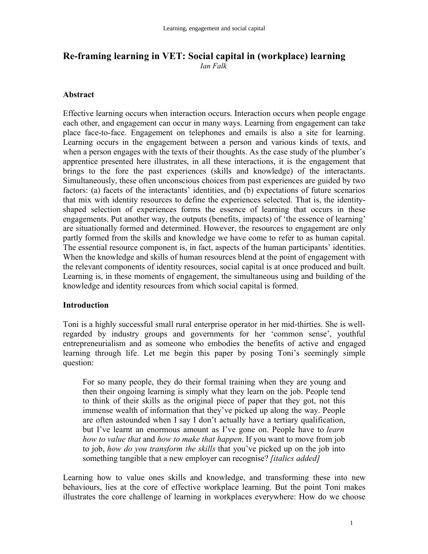# **Re-framing learning in VET: Social capital in (workplace) learning** *Ian Falk*

## **Abstract**

Effective learning occurs when interaction occurs. Interaction occurs when people engage each other, and engagement can occur in many ways. Learning from engagement can take place face-to-face. Engagement on telephones and emails is also a site for learning. Learning occurs in the engagement between a person and various kinds of texts, and when a person engages with the texts of their thoughts. As the case study of the plumber's apprentice presented here illustrates, in all these interactions, it is the engagement that brings to the fore the past experiences (skills and knowledge) of the interactants. Simultaneously, these often unconscious choices from past experiences are guided by two factors: (a) facets of the interactants' identities, and (b) expectations of future scenarios that mix with identity resources to define the experiences selected. That is, the identityshaped selection of experiences forms the essence of learning that occurs in these engagements. Put another way, the outputs (benefits, impacts) of 'the essence of learning' are situationally formed and determined. However, the resources to engagement are only partly formed from the skills and knowledge we have come to refer to as human capital. The essential resource component is, in fact, aspects of the human participants' identities. When the knowledge and skills of human resources blend at the point of engagement with the relevant components of identity resources, social capital is at once produced and built. Learning is, in these moments of engagement, the simultaneous using and building of the knowledge and identity resources from which social capital is formed.

#### **Introduction**

Toni is a highly successful small rural enterprise operator in her mid-thirties. She is wellregarded by industry groups and governments for her 'common sense', youthful entrepreneurialism and as someone who embodies the benefits of active and engaged learning through life. Let me begin this paper by posing Toni's seemingly simple question:

For so many people, they do their formal training when they are young and then their ongoing learning is simply what they learn on the job. People tend to think of their skills as the original piece of paper that they got, not this immense wealth of information that they've picked up along the way. People are often astounded when I say I don't actually have a tertiary qualification, but I've learnt an enormous amount as I've gone on. People have to *learn how to value that* and *how to make that happen*. If you want to move from job to job, *how do you transform the skills* that you've picked up on the job into something tangible that a new employer can recognise? *[italics added]*

Learning how to value ones skills and knowledge, and transforming these into new behaviours, lies at the core of effective workplace learning. But the point Toni makes illustrates the core challenge of learning in workplaces everywhere: How do we choose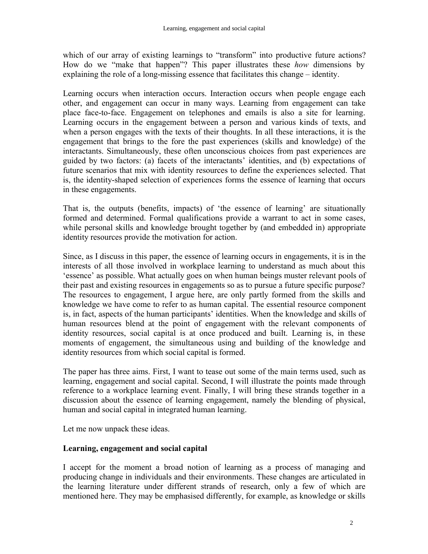which of our array of existing learnings to "transform" into productive future actions? How do we "make that happen"? This paper illustrates these *how* dimensions by explaining the role of a long-missing essence that facilitates this change – identity.

Learning occurs when interaction occurs. Interaction occurs when people engage each other, and engagement can occur in many ways. Learning from engagement can take place face-to-face. Engagement on telephones and emails is also a site for learning. Learning occurs in the engagement between a person and various kinds of texts, and when a person engages with the texts of their thoughts. In all these interactions, it is the engagement that brings to the fore the past experiences (skills and knowledge) of the interactants. Simultaneously, these often unconscious choices from past experiences are guided by two factors: (a) facets of the interactants' identities, and (b) expectations of future scenarios that mix with identity resources to define the experiences selected. That is, the identity-shaped selection of experiences forms the essence of learning that occurs in these engagements.

That is, the outputs (benefits, impacts) of 'the essence of learning' are situationally formed and determined. Formal qualifications provide a warrant to act in some cases, while personal skills and knowledge brought together by (and embedded in) appropriate identity resources provide the motivation for action.

Since, as I discuss in this paper, the essence of learning occurs in engagements, it is in the interests of all those involved in workplace learning to understand as much about this 'essence' as possible. What actually goes on when human beings muster relevant pools of their past and existing resources in engagements so as to pursue a future specific purpose? The resources to engagement, I argue here, are only partly formed from the skills and knowledge we have come to refer to as human capital. The essential resource component is, in fact, aspects of the human participants' identities. When the knowledge and skills of human resources blend at the point of engagement with the relevant components of identity resources, social capital is at once produced and built. Learning is, in these moments of engagement, the simultaneous using and building of the knowledge and identity resources from which social capital is formed.

The paper has three aims. First, I want to tease out some of the main terms used, such as learning, engagement and social capital. Second, I will illustrate the points made through reference to a workplace learning event. Finally, I will bring these strands together in a discussion about the essence of learning engagement, namely the blending of physical, human and social capital in integrated human learning.

Let me now unpack these ideas.

## **Learning, engagement and social capital**

I accept for the moment a broad notion of learning as a process of managing and producing change in individuals and their environments. These changes are articulated in the learning literature under different strands of research, only a few of which are mentioned here. They may be emphasised differently, for example, as knowledge or skills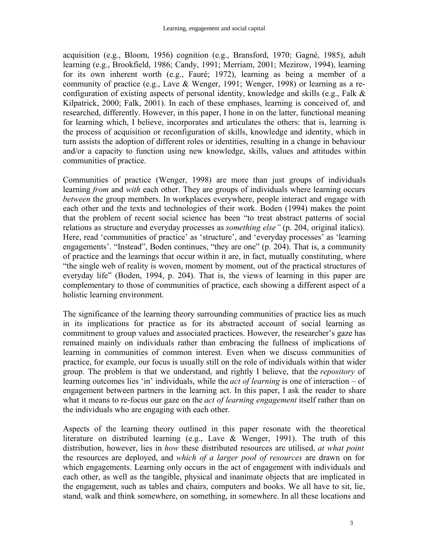acquisition (e.g., Bloom, 1956) cognition (e.g., Bransford, 1970; Gagné, 1985), adult learning (e.g., Brookfield, 1986; Candy, 1991; Merriam, 2001; Mezirow, 1994), learning for its own inherent worth (e.g., Fauré; 1972), learning as being a member of a community of practice (e.g., Lave & Wenger, 1991; Wenger, 1998) or learning as a reconfiguration of existing aspects of personal identity, knowledge and skills (e.g., Falk & Kilpatrick, 2000; Falk, 2001). In each of these emphases, learning is conceived of, and researched, differently. However, in this paper, I hone in on the latter, functional meaning for learning which, I believe, incorporates and articulates the others: that is, learning is the process of acquisition or reconfiguration of skills, knowledge and identity, which in turn assists the adoption of different roles or identities, resulting in a change in behaviour and/or a capacity to function using new knowledge, skills, values and attitudes within communities of practice.

Communities of practice (Wenger, 1998) are more than just groups of individuals learning *from* and *with* each other. They are groups of individuals where learning occurs *between* the group members. In workplaces everywhere, people interact and engage with each other and the texts and technologies of their work. Boden (1994) makes the point that the problem of recent social science has been "to treat abstract patterns of social relations as structure and everyday processes as *something else"* (p. 204, original italics). Here, read 'communities of practice' as 'structure', and 'everyday processes' as 'learning engagements'. "Instead", Boden continues, "they are one" (p. 204). That is, a community of practice and the learnings that occur within it are, in fact, mutually constituting, where "the single web of reality is woven, moment by moment, out of the practical structures of everyday life" (Boden, 1994, p. 204). That is, the views of learning in this paper are complementary to those of communities of practice, each showing a different aspect of a holistic learning environment.

The significance of the learning theory surrounding communities of practice lies as much in its implications for practice as for its abstracted account of social learning as commitment to group values and associated practices. However, the researcher's gaze has remained mainly on individuals rather than embracing the fullness of implications of learning in communities of common interest. Even when we discuss communities of practice, for example, our focus is usually still on the role of individuals within that wider group. The problem is that we understand, and rightly I believe, that the *repository* of learning outcomes lies 'in' individuals, while the *act of learning* is one of interaction – of engagement between partners in the learning act. In this paper, I ask the reader to share what it means to re-focus our gaze on the *act of learning engagement* itself rather than on the individuals who are engaging with each other.

Aspects of the learning theory outlined in this paper resonate with the theoretical literature on distributed learning (e.g., Lave & Wenger, 1991). The truth of this distribution, however, lies in *how* these distributed resources are utilised, *at what point* the resources are deployed, and *which of a larger pool of resources* are drawn on for which engagements. Learning only occurs in the act of engagement with individuals and each other, as well as the tangible, physical and inanimate objects that are implicated in the engagement, such as tables and chairs, computers and books. We all have to sit, lie, stand, walk and think somewhere, on something, in somewhere. In all these locations and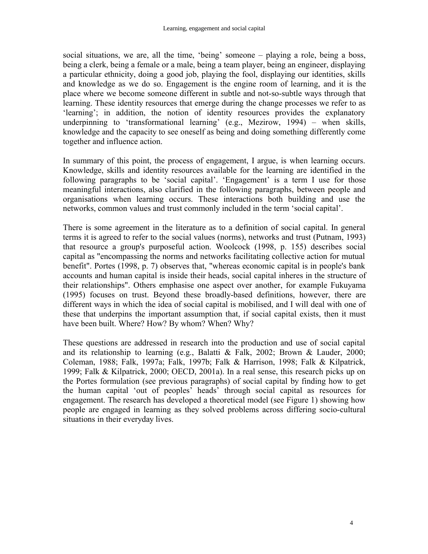social situations, we are, all the time, 'being' someone – playing a role, being a boss, being a clerk, being a female or a male, being a team player, being an engineer, displaying a particular ethnicity, doing a good job, playing the fool, displaying our identities, skills and knowledge as we do so. Engagement is the engine room of learning, and it is the place where we become someone different in subtle and not-so-subtle ways through that learning. These identity resources that emerge during the change processes we refer to as 'learning'; in addition, the notion of identity resources provides the explanatory underpinning to 'transformational learning' (e.g., Mezirow, 1994) – when skills, knowledge and the capacity to see oneself as being and doing something differently come together and influence action.

In summary of this point, the process of engagement, I argue, is when learning occurs. Knowledge, skills and identity resources available for the learning are identified in the following paragraphs to be 'social capital'. 'Engagement' is a term I use for those meaningful interactions, also clarified in the following paragraphs, between people and organisations when learning occurs. These interactions both building and use the networks, common values and trust commonly included in the term 'social capital'.

There is some agreement in the literature as to a definition of social capital. In general terms it is agreed to refer to the social values (norms), networks and trust (Putnam, 1993) that resource a group's purposeful action. Woolcock (1998, p. 155) describes social capital as "encompassing the norms and networks facilitating collective action for mutual benefit". Portes (1998, p. 7) observes that, "whereas economic capital is in people's bank accounts and human capital is inside their heads, social capital inheres in the structure of their relationships". Others emphasise one aspect over another, for example Fukuyama (1995) focuses on trust. Beyond these broadly-based definitions, however, there are different ways in which the idea of social capital is mobilised, and I will deal with one of these that underpins the important assumption that, if social capital exists, then it must have been built. Where? How? By whom? When? Why?

These questions are addressed in research into the production and use of social capital and its relationship to learning (e.g., Balatti & Falk, 2002; Brown & Lauder, 2000; Coleman, 1988; Falk, 1997a; Falk, 1997b; Falk & Harrison, 1998; Falk & Kilpatrick, 1999; Falk & Kilpatrick, 2000; OECD, 2001a). In a real sense, this research picks up on the Portes formulation (see previous paragraphs) of social capital by finding how to get the human capital 'out of peoples' heads' through social capital as resources for engagement. The research has developed a theoretical model (see Figure 1) showing how people are engaged in learning as they solved problems across differing socio-cultural situations in their everyday lives.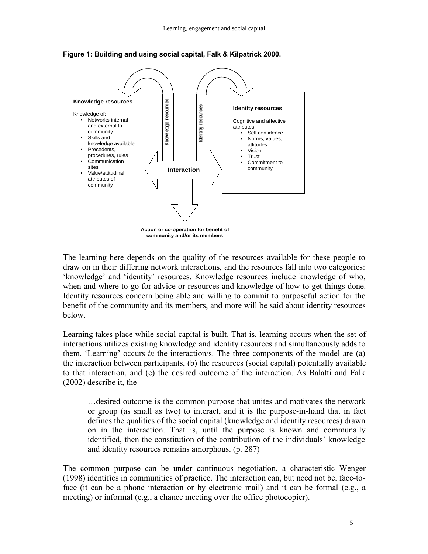

**Figure 1: Building and using social capital, Falk & Kilpatrick 2000.**

The learning here depends on the quality of the resources available for these people to draw on in their differing network interactions, and the resources fall into two categories: 'knowledge' and 'identity' resources. Knowledge resources include knowledge of who, when and where to go for advice or resources and knowledge of how to get things done. Identity resources concern being able and willing to commit to purposeful action for the benefit of the community and its members, and more will be said about identity resources below.

Learning takes place while social capital is built. That is, learning occurs when the set of interactions utilizes existing knowledge and identity resources and simultaneously adds to them. 'Learning' occurs *in* the interaction/s. The three components of the model are (a) the interaction between participants, (b) the resources (social capital) potentially available to that interaction, and (c) the desired outcome of the interaction. As Balatti and Falk (2002) describe it, the

…desired outcome is the common purpose that unites and motivates the network or group (as small as two) to interact, and it is the purpose-in-hand that in fact defines the qualities of the social capital (knowledge and identity resources) drawn on in the interaction. That is, until the purpose is known and communally identified, then the constitution of the contribution of the individuals' knowledge and identity resources remains amorphous. (p. 287)

The common purpose can be under continuous negotiation, a characteristic Wenger (1998) identifies in communities of practice. The interaction can, but need not be, face-toface (it can be a phone interaction or by electronic mail) and it can be formal (e.g., a meeting) or informal (e.g., a chance meeting over the office photocopier).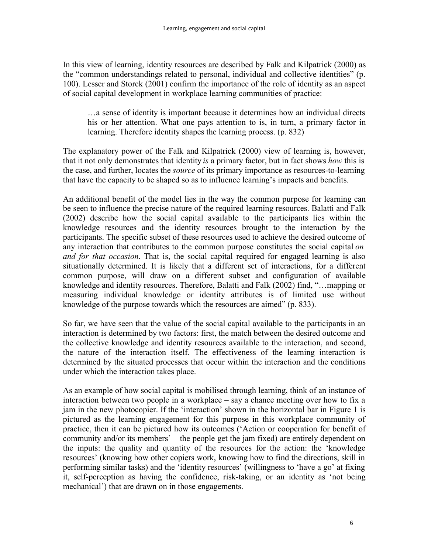In this view of learning, identity resources are described by Falk and Kilpatrick (2000) as the "common understandings related to personal, individual and collective identities" (p. 100). Lesser and Storck (2001) confirm the importance of the role of identity as an aspect of social capital development in workplace learning communities of practice:

…a sense of identity is important because it determines how an individual directs his or her attention. What one pays attention to is, in turn, a primary factor in learning. Therefore identity shapes the learning process. (p. 832)

The explanatory power of the Falk and Kilpatrick (2000) view of learning is, however, that it not only demonstrates that identity *is* a primary factor, but in fact shows *how* this is the case, and further, locates the *source* of its primary importance as resources-to-learning that have the capacity to be shaped so as to influence learning's impacts and benefits.

An additional benefit of the model lies in the way the common purpose for learning can be seen to influence the precise nature of the required learning resources. Balatti and Falk (2002) describe how the social capital available to the participants lies within the knowledge resources and the identity resources brought to the interaction by the participants. The specific subset of these resources used to achieve the desired outcome of any interaction that contributes to the common purpose constitutes the social capital *on and for that occasion*. That is, the social capital required for engaged learning is also situationally determined. It is likely that a different set of interactions, for a different common purpose, will draw on a different subset and configuration of available knowledge and identity resources. Therefore, Balatti and Falk (2002) find, "…mapping or measuring individual knowledge or identity attributes is of limited use without knowledge of the purpose towards which the resources are aimed" (p. 833).

So far, we have seen that the value of the social capital available to the participants in an interaction is determined by two factors: first, the match between the desired outcome and the collective knowledge and identity resources available to the interaction, and second, the nature of the interaction itself. The effectiveness of the learning interaction is determined by the situated processes that occur within the interaction and the conditions under which the interaction takes place.

As an example of how social capital is mobilised through learning, think of an instance of interaction between two people in a workplace – say a chance meeting over how to fix a jam in the new photocopier. If the 'interaction' shown in the horizontal bar in Figure 1 is pictured as the learning engagement for this purpose in this workplace community of practice, then it can be pictured how its outcomes ('Action or cooperation for benefit of community and/or its members' – the people get the jam fixed) are entirely dependent on the inputs: the quality and quantity of the resources for the action: the 'knowledge resources' (knowing how other copiers work, knowing how to find the directions, skill in performing similar tasks) and the 'identity resources' (willingness to 'have a go' at fixing it, self-perception as having the confidence, risk-taking, or an identity as 'not being mechanical') that are drawn on in those engagements.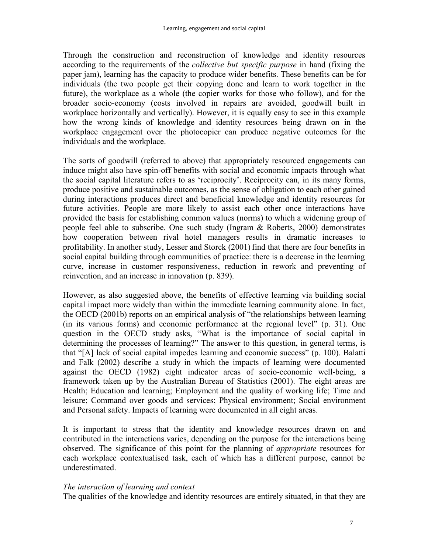Through the construction and reconstruction of knowledge and identity resources according to the requirements of the *collective but specific purpose* in hand (fixing the paper jam), learning has the capacity to produce wider benefits. These benefits can be for individuals (the two people get their copying done and learn to work together in the future), the workplace as a whole (the copier works for those who follow), and for the broader socio-economy (costs involved in repairs are avoided, goodwill built in workplace horizontally and vertically). However, it is equally easy to see in this example how the wrong kinds of knowledge and identity resources being drawn on in the workplace engagement over the photocopier can produce negative outcomes for the individuals and the workplace.

The sorts of goodwill (referred to above) that appropriately resourced engagements can induce might also have spin-off benefits with social and economic impacts through what the social capital literature refers to as 'reciprocity'. Reciprocity can, in its many forms, produce positive and sustainable outcomes, as the sense of obligation to each other gained during interactions produces direct and beneficial knowledge and identity resources for future activities. People are more likely to assist each other once interactions have provided the basis for establishing common values (norms) to which a widening group of people feel able to subscribe. One such study (Ingram & Roberts, 2000) demonstrates how cooperation between rival hotel managers results in dramatic increases to profitability. In another study, Lesser and Storck (2001) find that there are four benefits in social capital building through communities of practice: there is a decrease in the learning curve, increase in customer responsiveness, reduction in rework and preventing of reinvention, and an increase in innovation (p. 839).

However, as also suggested above, the benefits of effective learning via building social capital impact more widely than within the immediate learning community alone. In fact, the OECD (2001b) reports on an empirical analysis of "the relationships between learning (in its various forms) and economic performance at the regional level" (p. 31). One question in the OECD study asks, "What is the importance of social capital in determining the processes of learning?" The answer to this question, in general terms, is that "[A] lack of social capital impedes learning and economic success" (p. 100). Balatti and Falk (2002) describe a study in which the impacts of learning were documented against the OECD (1982) eight indicator areas of socio-economic well-being, a framework taken up by the Australian Bureau of Statistics (2001). The eight areas are Health; Education and learning; Employment and the quality of working life; Time and leisure; Command over goods and services; Physical environment; Social environment and Personal safety. Impacts of learning were documented in all eight areas.

It is important to stress that the identity and knowledge resources drawn on and contributed in the interactions varies, depending on the purpose for the interactions being observed. The significance of this point for the planning of *appropriate* resources for each workplace contextualised task, each of which has a different purpose, cannot be underestimated.

#### *The interaction of learning and context*

The qualities of the knowledge and identity resources are entirely situated, in that they are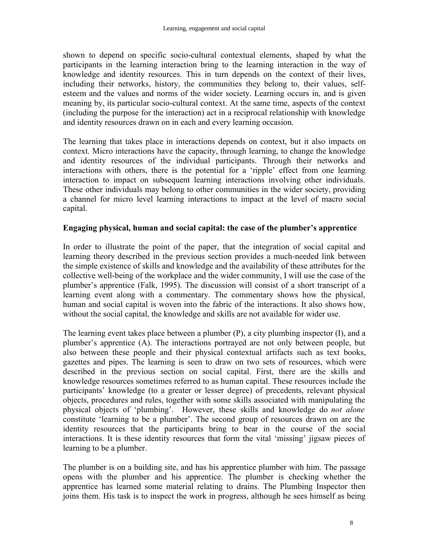shown to depend on specific socio-cultural contextual elements, shaped by what the participants in the learning interaction bring to the learning interaction in the way of knowledge and identity resources. This in turn depends on the context of their lives, including their networks, history, the communities they belong to, their values, selfesteem and the values and norms of the wider society. Learning occurs in, and is given meaning by, its particular socio-cultural context. At the same time, aspects of the context (including the purpose for the interaction) act in a reciprocal relationship with knowledge and identity resources drawn on in each and every learning occasion.

The learning that takes place in interactions depends on context, but it also impacts on context. Micro interactions have the capacity, through learning, to change the knowledge and identity resources of the individual participants. Through their networks and interactions with others, there is the potential for a 'ripple' effect from one learning interaction to impact on subsequent learning interactions involving other individuals. These other individuals may belong to other communities in the wider society, providing a channel for micro level learning interactions to impact at the level of macro social capital.

## **Engaging physical, human and social capital: the case of the plumber's apprentice**

In order to illustrate the point of the paper, that the integration of social capital and learning theory described in the previous section provides a much-needed link between the simple existence of skills and knowledge and the availability of these attributes for the collective well-being of the workplace and the wider community, I will use the case of the plumber's apprentice (Falk, 1995). The discussion will consist of a short transcript of a learning event along with a commentary. The commentary shows how the physical, human and social capital is woven into the fabric of the interactions. It also shows how, without the social capital, the knowledge and skills are not available for wider use.

The learning event takes place between a plumber (P), a city plumbing inspector (I), and a plumber's apprentice (A). The interactions portrayed are not only between people, but also between these people and their physical contextual artifacts such as text books, gazettes and pipes. The learning is seen to draw on two sets of resources, which were described in the previous section on social capital. First, there are the skills and knowledge resources sometimes referred to as human capital. These resources include the participants' knowledge (to a greater or lesser degree) of precedents, relevant physical objects, procedures and rules, together with some skills associated with manipulating the physical objects of 'plumbing'. However, these skills and knowledge do *not alone* constitute 'learning to be a plumber'. The second group of resources drawn on are the identity resources that the participants bring to bear in the course of the social interactions. It is these identity resources that form the vital 'missing' jigsaw pieces of learning to be a plumber.

The plumber is on a building site, and has his apprentice plumber with him. The passage opens with the plumber and his apprentice. The plumber is checking whether the apprentice has learned some material relating to drains. The Plumbing Inspector then joins them. His task is to inspect the work in progress, although he sees himself as being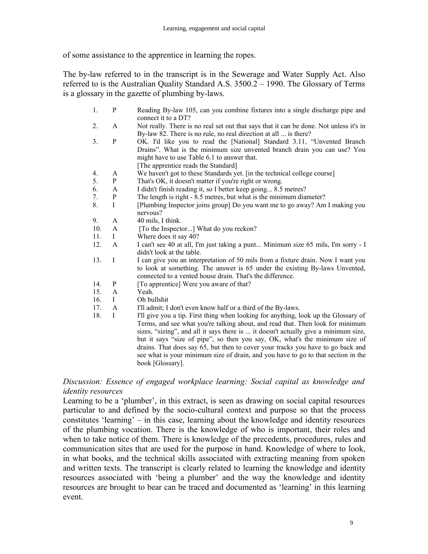of some assistance to the apprentice in learning the ropes.

The by-law referred to in the transcript is in the Sewerage and Water Supply Act. Also referred to is the Australian Quality Standard A.S. 3500.2 – 1990. The Glossary of Terms is a glossary in the gazette of plumbing by-laws.

- 1. P Reading By-law 105, can you combine fixtures into a single discharge pipe and connect it to a DT?
- 2. A Not really. There is no real set out that says that it can be done. Not unless it's in By-law 82. There is no rule, no real direction at all ... is there?
- 3. P OK. I'd like you to read the [National] Standard 3.11, "Unvented Branch Drains". What is the minimum size unvented branch drain you can use? You might have to use Table 6.1 to answer that. [The apprentice reads the Standard]
- 4. A We haven't got to these Standards yet. [in the technical college course]
- 5. P That's OK, it doesn't matter if you're right or wrong.
- 6. A I didn't finish reading it, so I better keep going... 8.5 metres?
- 7. P The length is right 8.5 metres, but what is the minimum diameter?
- 8. I [Plumbing Inspector joins group] Do you want me to go away? Am I making you nervous?
- 9. A 40 mils, I think.
- 10. A [To the Inspector...] What do you reckon?
- 11. I Where does it say 40?
- 12. A I can't see 40 at all, I'm just taking a punt... Minimum size 65 mils, I'm sorry I didn't look at the table.
- 13. I I can give you an interpretation of 50 mils from a fixture drain. Now I want you to look at something. The answer is 65 under the existing By-laws Unvented, connected to a vented house drain. That's the difference.
- 14. P [To apprentice] Were you aware of that?
- 15. A Yeah.
- 16. I Oh bullshit
- 17. A I'll admit; I don't even know half or a third of the By-laws.
- 18. I I'll give you a tip. First thing when looking for anything, look up the Glossary of Terms, and see what you're talking about, and read that. Then look for minimum sizes, "sizing", and all it says there is ... it doesn't actually give a minimum size, but it says "size of pipe", so then you say, OK, what's the minimum size of drains. That does say 65, but then to cover your tracks you have to go back and see what is your minimum size of drain, and you have to go to that section in the book [Glossary].

## *Discussion: Essence of engaged workplace learning: Social capital as knowledge and identity resources*

Learning to be a 'plumber', in this extract, is seen as drawing on social capital resources particular to and defined by the socio-cultural context and purpose so that the process constitutes 'learning' – in this case, learning about the knowledge and identity resources of the plumbing vocation. There is the knowledge of who is important, their roles and when to take notice of them. There is knowledge of the precedents, procedures, rules and communication sites that are used for the purpose in hand. Knowledge of where to look, in what books, and the technical skills associated with extracting meaning from spoken and written texts. The transcript is clearly related to learning the knowledge and identity resources associated with 'being a plumber' and the way the knowledge and identity resources are brought to bear can be traced and documented as 'learning' in this learning event.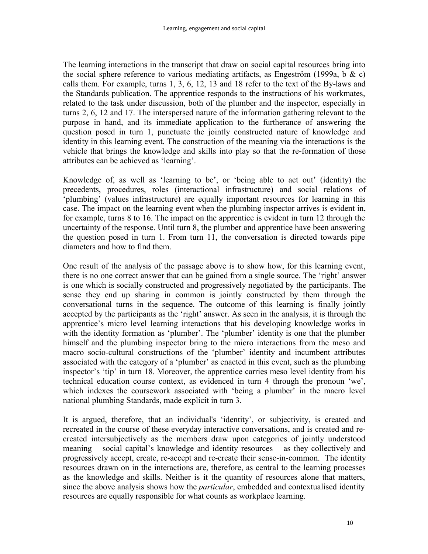The learning interactions in the transcript that draw on social capital resources bring into the social sphere reference to various mediating artifacts, as Engeström (1999a, b  $\&$  c) calls them. For example, turns 1, 3, 6, 12, 13 and 18 refer to the text of the By-laws and the Standards publication. The apprentice responds to the instructions of his workmates, related to the task under discussion, both of the plumber and the inspector, especially in turns 2, 6, 12 and 17. The interspersed nature of the information gathering relevant to the purpose in hand, and its immediate application to the furtherance of answering the question posed in turn 1, punctuate the jointly constructed nature of knowledge and identity in this learning event. The construction of the meaning via the interactions is the vehicle that brings the knowledge and skills into play so that the re-formation of those attributes can be achieved as 'learning'.

Knowledge of, as well as 'learning to be', or 'being able to act out' (identity) the precedents, procedures, roles (interactional infrastructure) and social relations of 'plumbing' (values infrastructure) are equally important resources for learning in this case. The impact on the learning event when the plumbing inspector arrives is evident in, for example, turns 8 to 16. The impact on the apprentice is evident in turn 12 through the uncertainty of the response. Until turn 8, the plumber and apprentice have been answering the question posed in turn 1. From turn 11, the conversation is directed towards pipe diameters and how to find them.

One result of the analysis of the passage above is to show how, for this learning event, there is no one correct answer that can be gained from a single source. The 'right' answer is one which is socially constructed and progressively negotiated by the participants. The sense they end up sharing in common is jointly constructed by them through the conversational turns in the sequence. The outcome of this learning is finally jointly accepted by the participants as the 'right' answer. As seen in the analysis, it is through the apprentice's micro level learning interactions that his developing knowledge works in with the identity formation as 'plumber'. The 'plumber' identity is one that the plumber himself and the plumbing inspector bring to the micro interactions from the meso and macro socio-cultural constructions of the 'plumber' identity and incumbent attributes associated with the category of a 'plumber' as enacted in this event, such as the plumbing inspector's 'tip' in turn 18. Moreover, the apprentice carries meso level identity from his technical education course context, as evidenced in turn 4 through the pronoun 'we', which indexes the coursework associated with 'being a plumber' in the macro level national plumbing Standards, made explicit in turn 3.

It is argued, therefore, that an individual's 'identity', or subjectivity, is created and recreated in the course of these everyday interactive conversations, and is created and recreated intersubjectively as the members draw upon categories of jointly understood meaning – social capital's knowledge and identity resources – as they collectively and progressively accept, create, re-accept and re-create their sense-in-common. The identity resources drawn on in the interactions are, therefore, as central to the learning processes as the knowledge and skills. Neither is it the quantity of resources alone that matters, since the above analysis shows how the *particular*, embedded and contextualised identity resources are equally responsible for what counts as workplace learning.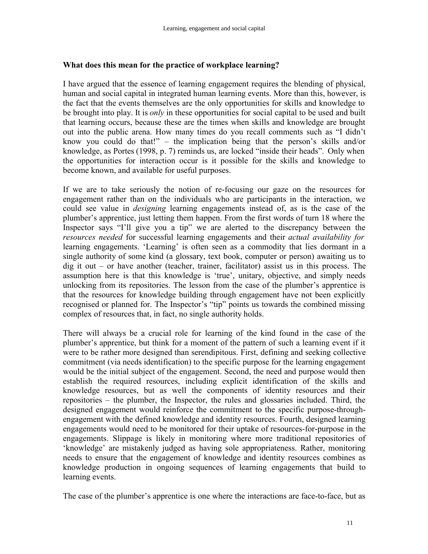## **What does this mean for the practice of workplace learning?**

I have argued that the essence of learning engagement requires the blending of physical, human and social capital in integrated human learning events. More than this, however, is the fact that the events themselves are the only opportunities for skills and knowledge to be brought into play. It is *only* in these opportunities for social capital to be used and built that learning occurs, because these are the times when skills and knowledge are brought out into the public arena. How many times do you recall comments such as "I didn't know you could do that!" – the implication being that the person's skills and/or knowledge, as Portes (1998, p. 7) reminds us, are locked "inside their heads". Only when the opportunities for interaction occur is it possible for the skills and knowledge to become known, and available for useful purposes.

If we are to take seriously the notion of re-focusing our gaze on the resources for engagement rather than on the individuals who are participants in the interaction, we could see value in *designing* learning engagements instead of, as is the case of the plumber's apprentice, just letting them happen. From the first words of turn 18 where the Inspector says "I'll give you a tip" we are alerted to the discrepancy between the *resources needed* for successful learning engagements and their *actual availability for* learning engagements. 'Learning' is often seen as a commodity that lies dormant in a single authority of some kind (a glossary, text book, computer or person) awaiting us to dig it out – or have another (teacher, trainer, facilitator) assist us in this process. The assumption here is that this knowledge is 'true', unitary, objective, and simply needs unlocking from its repositories. The lesson from the case of the plumber's apprentice is that the resources for knowledge building through engagement have not been explicitly recognised or planned for. The Inspector's "tip" points us towards the combined missing complex of resources that, in fact, no single authority holds.

There will always be a crucial role for learning of the kind found in the case of the plumber's apprentice, but think for a moment of the pattern of such a learning event if it were to be rather more designed than serendipitous. First, defining and seeking collective commitment (via needs identification) to the specific purpose for the learning engagement would be the initial subject of the engagement. Second, the need and purpose would then establish the required resources, including explicit identification of the skills and knowledge resources, but as well the components of identity resources and their repositories – the plumber, the Inspector, the rules and glossaries included. Third, the designed engagement would reinforce the commitment to the specific purpose-throughengagement with the defined knowledge and identity resources. Fourth, designed learning engagements would need to be monitored for their uptake of resources-for-purpose in the engagements. Slippage is likely in monitoring where more traditional repositories of 'knowledge' are mistakenly judged as having sole appropriateness. Rather, monitoring needs to ensure that the engagement of knowledge and identity resources combines as knowledge production in ongoing sequences of learning engagements that build to learning events.

The case of the plumber's apprentice is one where the interactions are face-to-face, but as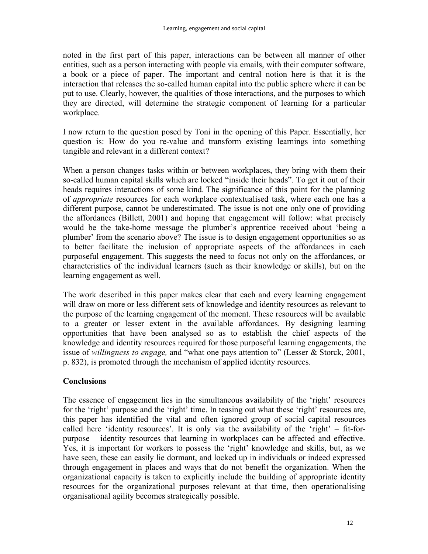noted in the first part of this paper, interactions can be between all manner of other entities, such as a person interacting with people via emails, with their computer software, a book or a piece of paper. The important and central notion here is that it is the interaction that releases the so-called human capital into the public sphere where it can be put to use. Clearly, however, the qualities of those interactions, and the purposes to which they are directed, will determine the strategic component of learning for a particular workplace.

I now return to the question posed by Toni in the opening of this Paper. Essentially, her question is: How do you re-value and transform existing learnings into something tangible and relevant in a different context?

When a person changes tasks within or between workplaces, they bring with them their so-called human capital skills which are locked "inside their heads". To get it out of their heads requires interactions of some kind. The significance of this point for the planning of *appropriate* resources for each workplace contextualised task, where each one has a different purpose, cannot be underestimated. The issue is not one only one of providing the affordances (Billett, 2001) and hoping that engagement will follow: what precisely would be the take-home message the plumber's apprentice received about 'being a plumber' from the scenario above? The issue is to design engagement opportunities so as to better facilitate the inclusion of appropriate aspects of the affordances in each purposeful engagement. This suggests the need to focus not only on the affordances, or characteristics of the individual learners (such as their knowledge or skills), but on the learning engagement as well.

The work described in this paper makes clear that each and every learning engagement will draw on more or less different sets of knowledge and identity resources as relevant to the purpose of the learning engagement of the moment. These resources will be available to a greater or lesser extent in the available affordances. By designing learning opportunities that have been analysed so as to establish the chief aspects of the knowledge and identity resources required for those purposeful learning engagements, the issue of *willingness to engage,* and "what one pays attention to" (Lesser & Storck, 2001, p. 832), is promoted through the mechanism of applied identity resources.

# **Conclusions**

The essence of engagement lies in the simultaneous availability of the 'right' resources for the 'right' purpose and the 'right' time. In teasing out what these 'right' resources are, this paper has identified the vital and often ignored group of social capital resources called here 'identity resources'. It is only via the availability of the 'right' – fit-forpurpose – identity resources that learning in workplaces can be affected and effective. Yes, it is important for workers to possess the 'right' knowledge and skills, but, as we have seen, these can easily lie dormant, and locked up in individuals or indeed expressed through engagement in places and ways that do not benefit the organization. When the organizational capacity is taken to explicitly include the building of appropriate identity resources for the organizational purposes relevant at that time, then operationalising organisational agility becomes strategically possible.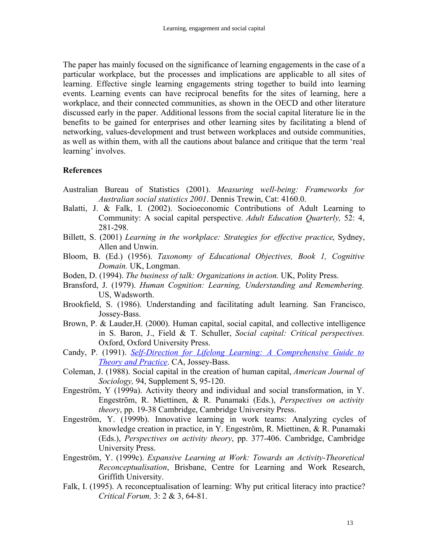The paper has mainly focused on the significance of learning engagements in the case of a particular workplace, but the processes and implications are applicable to all sites of learning. Effective single learning engagements string together to build into learning events. Learning events can have reciprocal benefits for the sites of learning, here a workplace, and their connected communities, as shown in the OECD and other literature discussed early in the paper. Additional lessons from the social capital literature lie in the benefits to be gained for enterprises and other learning sites by facilitating a blend of networking, values-development and trust between workplaces and outside communities, as well as within them, with all the cautions about balance and critique that the term 'real learning' involves.

#### **References**

- Australian Bureau of Statistics (2001). *Measuring well-being: Frameworks for Australian social statistics 2001*. Dennis Trewin, Cat: 4160.0.
- Balatti, J. & Falk, I. (2002). Socioeconomic Contributions of Adult Learning to Community: A social capital perspective. *Adult Education Quarterly,* 52: 4, 281-298.
- Billett, S. (2001) *Learning in the workplace: Strategies for effective practice*, Sydney, Allen and Unwin.
- Bloom, B. (Ed.) (1956). *Taxonomy of Educational Objectives, Book 1, Cognitive Domain.* UK, Longman.
- Boden, D. (1994). *The business of talk: Organizations in action.* UK, Polity Press.
- Bransford, J. (1979). *Human Cognition: Learning, Understanding and Remembering.* US, Wadsworth.
- Brookfield, S. (1986). Understanding and facilitating adult learning. San Francisco, Jossey-Bass.
- Brown, P. & Lauder,H. (2000). Human capital, social capital, and collective intelligence in S. Baron, J., Field & T. Schuller, *Social capital: Critical perspectives.* Oxford, Oxford University Press.
- Candy, P. (1991). *Self-Direction for Lifelong Learning: A Comprehensive Guide to Theory and Practice*. CA, Jossey-Bass.
- Coleman, J. (1988). Social capital in the creation of human capital, *American Journal of Sociology,* 94, Supplement S, 95-120.
- Engeström, Y (1999a). Activity theory and individual and social transformation, in Y. Engeström, R. Miettinen, & R. Punamaki (Eds.), *Perspectives on activity theory*, pp. 19-38 Cambridge, Cambridge University Press.
- Engeström, Y. (1999b). Innovative learning in work teams: Analyzing cycles of knowledge creation in practice, in Y. Engeström, R. Miettinen, & R. Punamaki (Eds.), *Perspectives on activity theory*, pp. 377-406. Cambridge, Cambridge University Press.
- Engeström, Y. (1999c). *Expansive Learning at Work: Towards an Activity-Theoretical Reconceptualisation*, Brisbane, Centre for Learning and Work Research, Griffith University.
- Falk, I. (1995). A reconceptualisation of learning: Why put critical literacy into practice? *Critical Forum,* 3: 2 & 3, 64-81.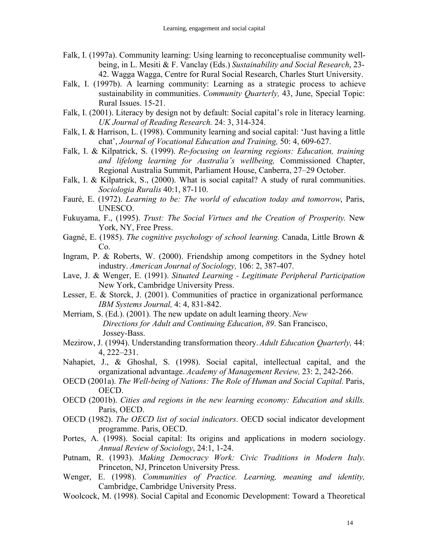- Falk, I. (1997a). Community learning: Using learning to reconceptualise community wellbeing, in L. Mesiti & F. Vanclay (Eds.) *Sustainability and Social Research*, 23- 42. Wagga Wagga, Centre for Rural Social Research, Charles Sturt University.
- Falk, I. (1997b). A learning community: Learning as a strategic process to achieve sustainability in communities. *Community Quarterly,* 43, June, Special Topic: Rural Issues. 15-21.
- Falk, I. (2001). Literacy by design not by default: Social capital's role in literacy learning. *UK Journal of Reading Research.* 24: 3, 314-324.
- Falk, I. & Harrison, L. (1998). Community learning and social capital: 'Just having a little chat', *Journal of Vocational Education and Training,* 50: 4, 609-627.
- Falk, I. & Kilpatrick, S. (1999). *Re-focusing on learning regions: Education, training and lifelong learning for Australia's wellbeing,* Commissioned Chapter, Regional Australia Summit, Parliament House, Canberra, 27–29 October.
- Falk, I. & Kilpatrick, S., (2000). What is social capital? A study of rural communities. *Sociologia Ruralis* 40:1, 87-110.
- Fauré, E. (1972). *Learning to be: The world of education today and tomorrow*, Paris, UNESCO.
- Fukuyama, F., (1995). *Trust: The Social Virtues and the Creation of Prosperity*. New York, NY, Free Press.
- Gagné, E. (1985). *The cognitive psychology of school learning.* Canada, Little Brown & Co.
- Ingram, P. & Roberts, W. (2000). Friendship among competitors in the Sydney hotel industry. *American Journal of Sociology,* 106: 2, 387-407.
- Lave, J. & Wenger, E. (1991). *Situated Learning - Legitimate Peripheral Participation* New York, Cambridge University Press.
- Lesser, E. & Storck, J. (2001). Communities of practice in organizational performance*. IBM Systems Journal,* 4: 4, 831-842.
- Merriam, S. (Ed.). (2001). The new update on adult learning theory.*New Directions for Adult and Continuing Education*, *89*. San Francisco, Jossey-Bass.
- Mezirow, J. (1994). Understanding transformation theory. *Adult Education Quarterly,* 44: 4, 222–231.
- Nahapiet, J., & Ghoshal, S. (1998). Social capital, intellectual capital, and the organizational advantage. *Academy of Management Review,* 23: 2, 242-266.
- OECD (2001a). *The Well-being of Nations: The Role of Human and Social Capital.* Paris, OECD.
- OECD (2001b). *Cities and regions in the new learning economy: Education and skills*. Paris, OECD.
- OECD (1982). *The OECD list of social indicators*. OECD social indicator development programme. Paris, OECD.
- Portes, A. (1998). Social capital: Its origins and applications in modern sociology. *Annual Review of Sociology*, 24:1, 1-24.
- Putnam, R. (1993). *Making Democracy Work: Civic Traditions in Modern Italy*. Princeton, NJ, Princeton University Press.
- Wenger, E. (1998). *Communities of Practice. Learning, meaning and identity,* Cambridge, Cambridge University Press.
- Woolcock, M. (1998). Social Capital and Economic Development: Toward a Theoretical